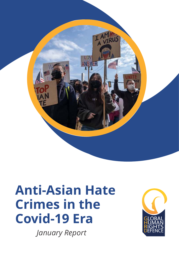

# **Anti-Asian Hate Crimes in the Covid-19 Era**

*January Report*

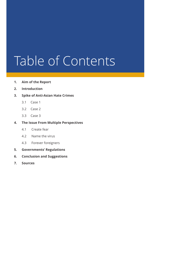# Table of Contents

- **1. Aim of the Report**
- **2. Introduction**

### **3. Spike of Anti-Asian Hate Crimes**

- 3.1 Case 1
- 3.2 Case 2
- 3.3 Case 3

### **4. The Issue From Multiple Perspectives**

- 4.1 Create fear
- 4.2 Name the virus
- 4.3 Forever foreigners
- **5. Governments' Regulations**
- **6. Conclusion and Suggestions**
- **7. Sources**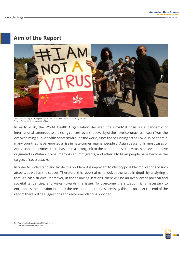## **Aim of the Report**



Protesters at a rally in Los Angeles against Anti-Asian hate crimes on February 20, 2021. Source: Genaro Molina/Los Angeles Times.

In early 2020, the World Health Organization declared the Covid-19 crisis as a pandemic of international extentdue to the rising concern over the severity of the novel coronavirus.<sup>1</sup> Apart from the overwhelming public health concerns around the world, since the beginning of the Covid-19 pandemic, many countries have reported a rise in hate crimes against people of Asian descent.<sup>2</sup> In most cases of Anti-Asian hate crimes, there has been a strong link to the pandemic. As the virus is believed to have originated in Wuhan, China, many Asian immigrants, and ethnically Asian people have become the targets of racist attacks.

In order to understand and tackle this problem, it is important to identify possible implications of such attacks, as well as the causes. Therefore, this report aims to look at the issue in depth by analyzing it through case studies. Moreover, in the following sections, there will be an overview of political and societal tendencies, and views towards the issue. To overcome the situation, it is necessary to encompass the question in detail; the present report serves precisely this purpose. At the end of the report, there will be suggestions and recommendations provided.

1. World Health Organization (27 May 2021).

2. Venkatraman (25 October 2021).

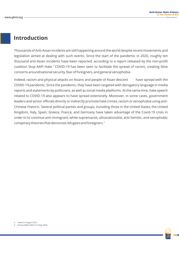## **Introduction**

Thousands of Anti-Asian incidents are still happening around the world despite recent movements and legislation aimed at dealing with such events. Since the start of the pandemic in 2020, roughly ten thousand anti-Asian incidents have been reported, according to a report released by the non-profit coalition Stop AAPI Hate.<sup>3</sup> COVID-19 has been seen to facilitate the spread of racism, creating false concerns aroundnational security, fear of foreigners, and general xenophobia

Indeed, racism and physical attacks on Asians and people of Asian descent have spread with the COVID-19 pandemic. Since the pandemic, they have been targeted with derogatory language in media reports and statements by politicians, as well as social media platforms. At the same time, hate speech related to COVID-19 also appears to have spread extensively. Moreover, in some cases, government leaders and senior officials directly or indirectly promote hate crimes, racism or xenophobia using anti-Chinese rhetoric. Several political parties and groups, including those in the United States, the United Kingdom, Italy, Spain, Greece, France, and Germany have taken advantage of the Covid-19 crisis in order to to continue anti-immigrant, white supremacist, ultranationalist, anti-Semitic, and xenophobic conspiracy theories that demonize refugees and foreigners.<sup>4</sup>

4. Human Rights Watch (12 May 2020).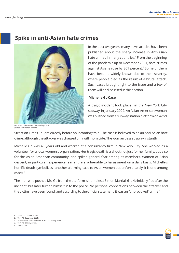## **Spike in anti-Asian hate crimes**



In the past two years, many news articles have been published about the sharp increase in Anti-Asian hate crimes in many countries.<sup>5</sup> From the beginning of the pandemic up to December 2021, hate crimes against Asians rose by 361 percent.<sup>6</sup> Some of them have become widely known due to their severity, where people died as the result of a brutal attack. Such cases brought light to the issue and a few of them will be discussed in this section.

#### **Michelle Go Case**

A tragic incident took place in the New York City subway, in January 2022. An Asian-American woman was pushed from a subway station platform on 42nd

Michelle's LinkedIn account profile picture. Source: NBCNews/LinkedIn.

Street on Times Square directly before an incoming train. The case is believed to be an Anti-Asian hate crime, although the attacker was charged only with homicide. The woman passed away instantly.<sup>7</sup>

Michelle Go was 40 years old and worked at a consultancy firm in New York City. She worked as a volunteer for a local women's organization. Her tragic death is a shock not just for her family, but also for the Asian-American community, and spiked general fear among its members. Women of Asian descent, in particular, experience fear and are vulnerable to harassment on a daily basis. Michelle's horrific death symbolizes another alarming case to Asian women but unfortunately, it is one among many.<sup>8</sup>

The man who pushed Ms. Go from the platform is homeless: Simon Martial, 61. He initially fled after the incident, but later turned himself in to the police. No personal connections between the attacker and the victim have been found, and according to the official statement, it was an "unprovoked" crime. $^{\circ}$ 

- 5. Fadel (22 October 2021).
- 6. Yam (10 December 2021). 7. Acevedo and The Associated Press (15 January 2022).
- 8. Yam (19 January 2022).
- 9. Supra note 7.

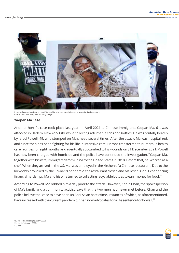

A group of people holding a photo of Yaopan Ma, who was brutally beaten in an Anti-Asian hate attack. Source: Timothy A. Clary/AFP via Getty Images.

#### **Yaopan Ma Case**

Another horrific case took place last year. In April 2021, a Chinese immigrant, Yaopan Ma, 61, was attacked in Harlem, New York City, while collecting returnable cans and bottles. He was brutally beaten by Jarod Powell, 49, who stomped on Ma's head several times. After the attack, Ma was hospitalized, and since then has been fighting for his life in intensive care. He was transferred to numerous health care facilities for eight months and eventually succumbed to his wounds on 31 December 2021. Powell has now been charged with homicide and the police have continued the investigation.<sup>10</sup>Yaopan Ma, together with his wife, immigrated from China to the United States in 2018. Before that, he worked as a chef. When they arrived in the US, Ma was employed in the kitchen of a Chinese restaurant. Due to the lockdown provoked by the Covid-19 pandemic, the restaurant closed and Ma lost his job. Experiencing financial hardships, Ma and his wife turned to collecting recyclable bottles to earn money for food.<sup>11</sup>

According to Powell, Ma robbed him a day prior to the attack. However, Karlin Chan, the spokesperson of Ma's family and a community activist, says that the two men had never met before. Chan and the police believe the case to have been an Anti-Asian hate crime, instances of which, as aforementioned, have increased with the current pandemic. Chan now advocates for a life sentence for Powell.<sup>12</sup>

10. Associated Press (8 January 2022).

11. Haigh (9 January 2022).

12. Ibid.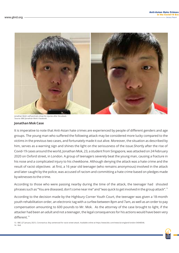

Jonathan Mok's self-portraits show his injuries after the attack. Source: BBC/Jonathan Mok's Facebook.

#### **Jonathan Mok Case**

It is imperative to note that Anti-Asian hate crimes are experienced by people of different genders and age groups. The young man who suffered the following attack may be considered more lucky compared to the victims in the previous two cases, and fortunately made it out alive. Moreover, the situation as described by him, serves as a warning sign and shines the light on the seriousness of the issue.Shortly after the rise of Covid-19 cases around the world, Jonathan Mok, 23, a student from Singapore, was attacked on 24 February 2020 on Oxford street, in London. A group of teenagers severely beat the young man, causing a fracture in his nose and a complicated injury to his cheekbone. Although denying the attack was a hate crime and the result of racist objectives at first, a 16 year old teenager (who remains anonymous) involved in the attack and later caught by the police, was accused of racism and committing a hate crime based on pledges made by witnesses to the crime.

According to those who were passing nearby during the time of the attack, the teenager had shouted phrases such as "You are diseased, don't come near me" and "was quick to get involved in the group attack".<sup>13</sup>

According to the decision made by the Highbury Corner Youth Court, the teenager was given a 18-month youth rehabilitation order, an electronic tag with a curfew between 8pm and 7am, as well as an order to pay compensation amounting to 600 pounds to Mr. Mok. As the attorney of the case brought to light, if the attacker had been an adult and not a teenager, the legal consequences for his actions would have been very different.<sup>14</sup>

13. BBC (27 January 2021). Coronavirus: Boy sentenced for racist street attack. Available online at https://www.bbc.com/news/uk-england-london-54048546. 14. Ibid.

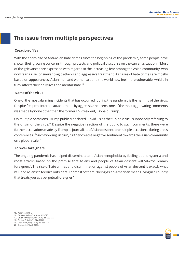## **The issue from multiple perspectives**

#### **Creation of fear**

With the sharp rise of Anti-Asian hate crimes since the beginning of the pandemic, some people have shown their growing concerns through protests and political discourse on the current situation.<sup>15</sup> Most of the grievances are expressed with regards to the increasing fear among the Asian community, who now fear a rise of similar tragic attacks and aggressive treatment. As cases of hate crimes are mostly based on appearances, Asian men and women around the world now feel more vulnerable, which, in turn, affects their daily lives and mental state.<sup>16</sup>

#### **Name of the virus**

One of the most alarming incidents that has occurred during the pandemic is the naming of the virus. Despite frequent internet attacks made by aggressive netizens, one of the most aggravating comments was made by none other than the former US President, Donald Trump.

On multiple occasions, Trump publicly declared Covid-19 as the "China virus", supposedly referring to the origin of the virus.<sup>17</sup> Despite the negative reaction of the public to such comments, there were further accusations made by Trump to journalists of Asian descent, on multiple occasions, during press conferences.<sup>18</sup> Such wording, in turn, further creates negative sentiment towards the Asian community on a global scale.<sup>19</sup>

#### **Forever foreigners**

The ongoing pandemic has helped disseminate anti-Asian xenophobia by fueling public hysteria and racist attacks based on the premise that Asians and people of Asian descent will "always remain foreigners". The rise of hate crimes and discrimination against people of Asian descent is exactly what will lead Asians to feel like outsiders. For most of them, "being Asian-American means living in a country that treats you as a perpetual foreigner". $^{21}$ 

- 15. Pedersen (2021).
- 16. Wu, Qian, Wilkes (2020), pp. 822-823.
- 17. Gover, Harper, Langton (2020), pp. 653-655. 18. Gabbatt & Smith (12 May 2020).
- 19. Chen, Trinh, Yang (2020), pp. 556-557.
- 20 Cheifetz (20 March 2021).

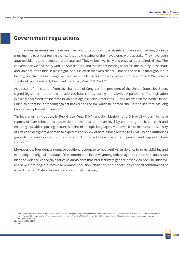## **Government regulations**

Too many Asian Americans have been walking up and down the streets and worrying, waking up each morning the past year feeling their safety and the safety of their loved ones were at stake. They have been attacked, blamed, scapegoated, and harassed. They've been verbally and physically assaulted, killed… The conversation we had today with the AAPI leaders, and that we are hearing all across the country, is that hate and violence often hide in plain sight. And it is often met with silence. That has been true throughout our history, but that has to change — because our silence is complicity. We cannot be complicit. We have to speak out. We have to act, President Joe Biden, March 19, 2021.<sup>21</sup>

As a result of the support from the chambers of Congress, the president of the United States, Joe Biden, signed legislation that aimed to address hate crimes during the COVID-19 pandemic. The legislation explicitly addressed the increase in violence against Asian Americans. During an event in the White House, Biden said that he is standing against hatred and racism, which he named "the ugly poison that has long haunted and plagued our nation."<sup>22</sup>

The legislation is introduced by Rep. Grace Meng, D-N.Y., and Sen. Mazie Hirono, D-Hawaii, who aim to make reports of hate crimes more accessible at the local and state level by enhancing public outreach and ensuring available reporting resources online in multiple languages. Moreover, it also instructs the Ministry of Justice to designate a person to expedite the review of hate crimes related to COVID-19 and authorises grants to State and local authorities to conduct crime reduction programs, to prevent and respond to hate crimes.<sup>23</sup>

Moreover, the President announced additional actions to combat Anti-Asian violence by re-establishing and extending the original mandate of the coordination initiative among federal agencies to combat anti-Asian bias and violence, especially against Asian violence that intersects with gender-based violence. The initiative will have a prolonged directive to promote inclusion, affiliation, and opportunities for all communities of Asian American, Native Hawaiian, and Pacific Islander origin.

<sup>21. &</sup>quot;FACT SHEET: President Biden Announces Addtional Actions to Respond to Anti-Asian Violence, Xenophobia and Bias". The White House. 30 March 2021. Available online at https://www.whitehouse.gov/briefing-room/statements-releases/2021/03/30/fact-sheet-president-biden-announces-additional-actions-to-respond-to-anti-asian-violencexenophobia-and-bias/.

<sup>22.</sup> Spunt (20 May 2021).

<sup>23.</sup> Ibid.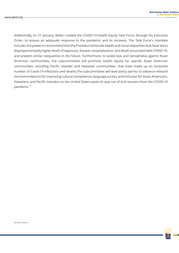Additionally, on 21 January, Biden created the COVID-19 Health Equity Task Force, through his Executive Order, to ensure an adequate response to the pandemic and its recovery. The Task Force's mandate includes the power to recommend that the President eliminate health and social disparities that have led to disproportionately higher levels of exposure, disease, hospitalisation, and death associated with COVID-19, and prevent similar inequalities in the future. Furthermore, to tackle bias and xenophobia against Asian American communities, the subcommittee will promote health equity for specific Asian American communities, including Pacific Islander and Hawaiian communities, that have made up an excessive number of Covid-19 infections and deaths.The subcommittee will lead policy sprints to advance relevant recommendations for improving cultural competence, language access, and inclusion for Asian Americans, Hawaiians and Pacific Islanders as the United States paves its way out of and recovers from the COVID-19 pandemic.<sup>24</sup>

24.Supra note 21.

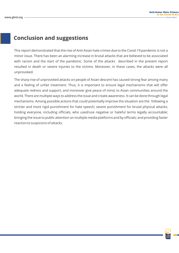## **Conclusion and suggestions**

This report demonstrated that the rise of Anti-Asian hate crimes due to the Covid-19 pandemic is not a minor issue. There has been an alarming increase in brutal attacks that are believed to be associated with racism and the start of the pandemic. Some of the attacks described in the present report resulted in death or severe injuries to the victims. Moreover, in these cases, the attacks were all unprovoked.

The sharp rise of unprovoked attacks on people of Asian descent has caused strong fear among many and a feeling of unfair treatment. Thus, it is important to ensure legal mechanisms that will offer adequate redress and support, and moreover give peace of mind, to Asian communities around the world. There are multiple ways to address the issue and create awareness. It can be done through legal mechanisms. Among possible actions that could potentially improve the situation are the following a stricter and more rigid punishment for hate speech; severe punishment for brutal physical attacks; holding everyone, including officials, who used/use negative or hateful terms legally accountable; bringing the issue to public attention on multiple media platforms and by officials; and providing faster reaction to suspicions of attacks.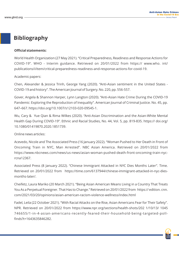## **Bibliography**

#### **Official statements:**

World Health Organization (27 May 2021). "Critical Preparedness, Readiness and Response Actions for COVID-19". WHO - Interim guidance. Retrieved on 20/01/2022 from https:// www.who. int/ publications/i/item/critical-preparedness-readiness-and-response-actions-for-covid-19.

Academic papers:

Chen, Alexander & Jessica Trinh, George Yang (2020). "Anti-Asian sentiment in the United States - COVID-19 and history". The American Journal of Surgery. No. 220, pp. 556-557.

Gover, Angela & Shannon Harper, Lynn Langton (2020). "Anti-Asian Hate Crime During the COVID-19 Pandemic: Exploring the Reproduction of Inequality". American Journal of Criminal Justice. No. 45, pp. 647–667. https://doi.org/10.1007/s12103-020-09545-1.

Wu, Cary & Yue Qian & Rima Wilkes (2020). "Anti-Asian Discrimination and the Asian-White Mental Health Gap During COVID-19". Ethnic and Racial Studies, No. 44, Vol. 5, pp. 819-835. https:// doi.org/ 10.1080/01419870.2020.1851739.

Online news articles:

Acevedo, Nicole and The Associated Press (16 January 2022). "Woman Pushed to Her Death in Front of Oncoming Train in NYC, Man Arrested". NBC Asian America. Retrieved on 20/01/2022 from https://www.nbcnews.com/news/us-news/asian-woman-pushed-death-front-oncoming-train-nycrcna12367.

Associated Press (8 January 2022). "Chinese Immigrant Attacked in NYC Dies Months Later". Time. Retrieved on 20/01/2022 from https://time.com/6137944/chinese-immigrant-attacked-in-nyc-diesmonths-later/.

Cheifetz, Laura Mariko (20 March 2021). "Being Asian American Means Living in a Country That Treats You As a Perpetual Foreigner. That Has to Change." Retrieved on 20/01/2022 from https:// edition. cnn. com/2021/03/20/opinions/asian-american-racism-violence-wellness/index.html

Fadel, Leila (22 October 2021). "With Racial Attacks on the Rise, Asian Americans Fear for Their Safety". NPR. Retrieved on 20/01/2022 from https://www.npr.org/sections/health-shots/202 1/10/13/ 1045 746655/1-in-4-asian-americans-recently-feared-their-household-being-targeted-pollfinds?t=1643635846282.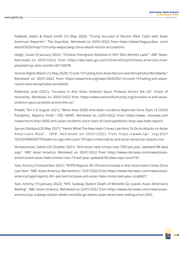Gabbatt, Adam & David Smith (12 May 2020). "Trump Accused of Racism After Clash with Asian American Reporter". The Guardian. Retrieved on 20/01/2022 from https://www.theguardian .com/ world/2020/may/12/trump-weijia-jiang-china-attack-racism-accusations.

Haigh, Susan (9 January 2022). "Chinese Immigrant Attacked in NYC Dies Months Later". ABC News. Retrieved on 20/01/2022 from https://abcnews.go.com/US/wireStory/chinese-american-manattacked-nyc-dies-months-82150678.

Human Rights Watch (12 May 2020). "Covid-19 Fueling Anti-Asian Racism and Xenophobia Worldwide." Retrieved on 20/01/2022 from https://www.hrw.org/news/2020/05/12/covid-19-fueling-anti-asianracism-and-xenophobia-worldwide.

Pedersen, Julie (2021). "Increase in Anti Asian Violence Spurs Protests Across the US". Vision of Humanity. Retrieved on 20/01/2022 from https://www.visionofhumanity.org/increase-in-anti-asianviolence-spurs-protests-across-the-us/.

Powell, Tori (12 August 2021). "More than 9,000 Anti-Asian Incidents Reported Since Start of COVID Pandemic, Reports Finds." CBS NEWS. Retrieved on 22/01/2022 from https://www. cbsnews.com /news/more-than-9000-anti-asian-incidents-since-start-of-covid-pandemic-stop-aapi-hate-report/.

Sprunt, Barbara (20 May 2021). "Here's What The New Hate Crimes Law Aims To Do As Attacks on Asian Americans Rise". NPR. Retrieved on 20/01/2022 from https://www.npr. org/2021 /05/20/998599775/biden-to-sign-the-covid-19-hate-crimes-bill-as-anti-asian-american-attacks-rise

Venkatraman, Sakshi (25 October 2021). "Anti-Asian hate crimes rose 73% last year, updated FBI data says". NBC Asian America. Retrieved on 20/01/2022 from https://www.nbcnews.com/news/asianamerica/anti-asian-hate-crimes-rose-73-last-year-updated-fbi-data-says-rcna3741.

Yam, Kimmy (10 December 2021). "NYPD Reports 361 Percent Increase in Anti-Asian Hate Crimes Since Last Year". NBC Asian America. Retrieved on 15/01/2022 from https://www.nbcnews.com/news/asianamerica/nypd-reports-361-percent-increase-anti-asian-hate-crimes-last-year-rcna8427.

Yam, Kimmy (19 January 2022). "NYC Subway Station Death of Michelle Go Leaves Asian Americans Reeling". NBC Asian America. Retrieved on 22/01/2022 from https://www.nbcnews.com/news/asianamerica/nyc-subway-station-death-michelle-go-leaves-asian-americans-reeling-rcna12650.